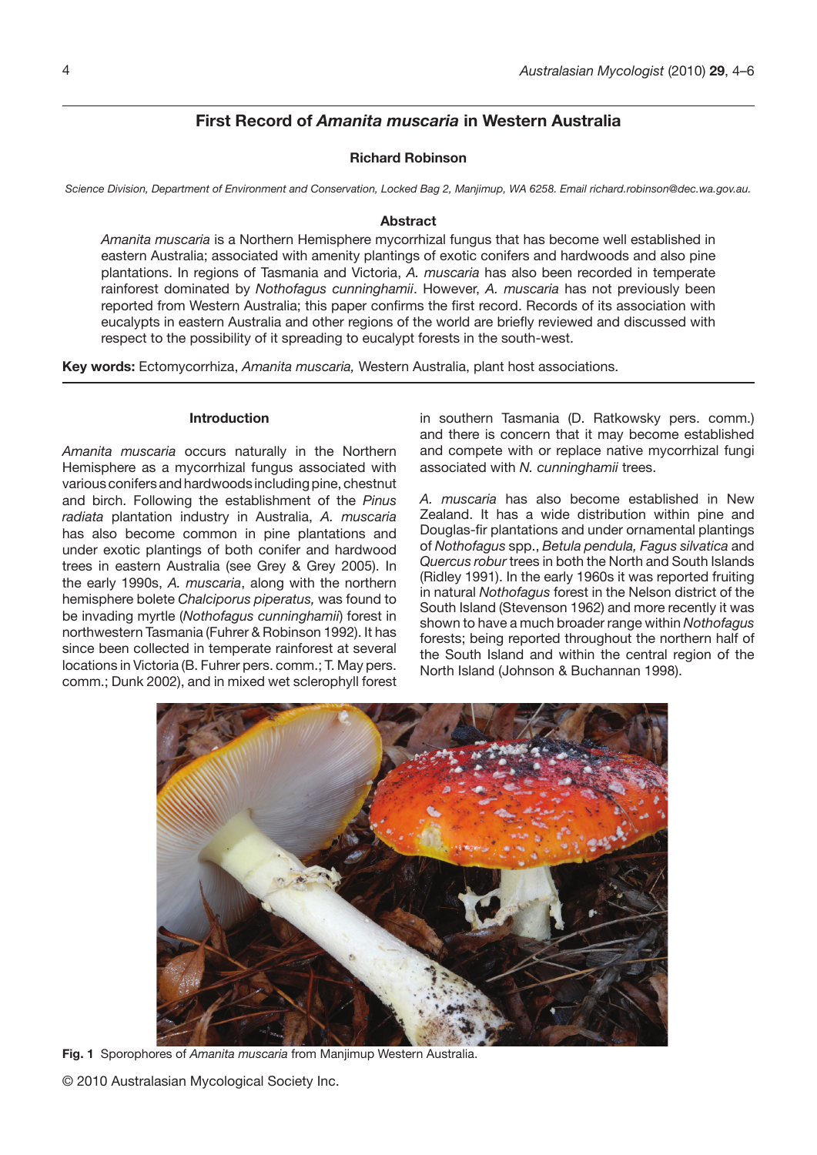# **First Record of** *Amanita muscaria* **in Western Australia**

## **Richard Robinson**

*Science Division, Department of Environment and Conservation, Locked Bag 2, Manjimup, WA 6258. Email richard.robinson@dec.wa.gov.au.*

#### **Abstract**

*Amanita muscaria* is a Northern Hemisphere mycorrhizal fungus that has become well established in eastern Australia; associated with amenity plantings of exotic conifers and hardwoods and also pine plantations. In regions of Tasmania and Victoria, *A. muscaria* has also been recorded in temperate rainforest dominated by *Nothofagus cunninghamii*. However, *A. muscaria* has not previously been reported from Western Australia; this paper confirms the first record. Records of its association with eucalypts in eastern Australia and other regions of the world are briefly reviewed and discussed with respect to the possibility of it spreading to eucalypt forests in the south-west.

**Key words:** Ectomycorrhiza, *Amanita muscaria,* Western Australia, plant host associations.

### **Introduction**

*Amanita muscaria* occurs naturally in the Northern Hemisphere as a mycorrhizal fungus associated with various conifers and hardwoods including pine, chestnut and birch. Following the establishment of the *Pinus radiata* plantation industry in Australia, *A. muscaria* has also become common in pine plantations and under exotic plantings of both conifer and hardwood trees in eastern Australia (see Grey & Grey 2005). In the early 1990s, *A. muscaria*, along with the northern hemisphere bolete *Chalciporus piperatus,* was found to be invading myrtle (*Nothofagus cunninghamii*) forest in northwestern Tasmania (Fuhrer & Robinson 1992). It has since been collected in temperate rainforest at several locations in Victoria (B. Fuhrer pers. comm.; T. May pers. comm.; Dunk 2002), and in mixed wet sclerophyll forest in southern Tasmania (D. Ratkowsky pers. comm.) and there is concern that it may become established and compete with or replace native mycorrhizal fungi associated with *N. cunninghamii* trees.

*A. muscaria* has also become established in New Zealand. It has a wide distribution within pine and Douglas-fir plantations and under ornamental plantings of *Nothofagus* spp., *Betula pendula, Fagus silvatica* and *Quercus robur* trees in both the North and South Islands (Ridley 1991). In the early 1960s it was reported fruiting in natural *Nothofagus* forest in the Nelson district of the South Island (Stevenson 1962) and more recently it was shown to have a much broader range within *Nothofagus* forests; being reported throughout the northern half of the South Island and within the central region of the North Island (Johnson & Buchannan 1998).



**Fig. 1** Sporophores of *Amanita muscaria* from Manjimup Western Australia.

© 2010 Australasian Mycological Society Inc.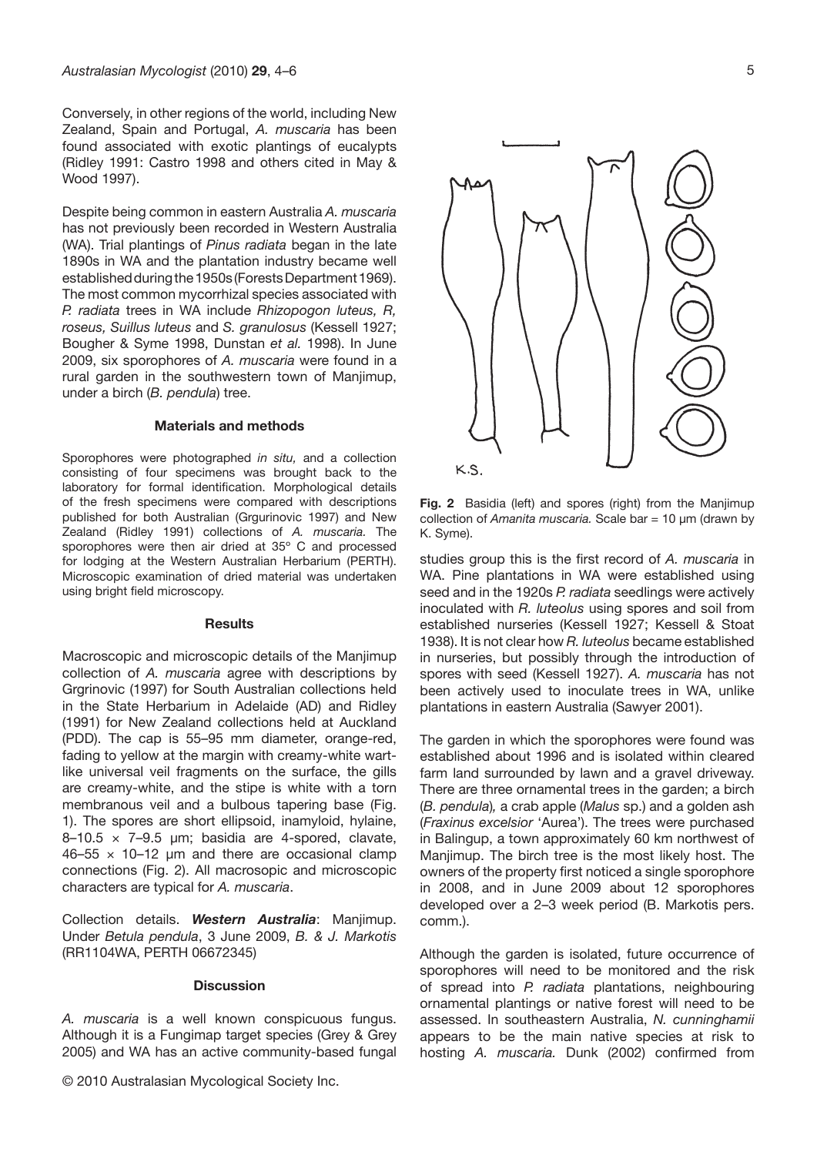Conversely, in other regions of the world, including New Zealand, Spain and Portugal, *A. muscaria* has been found associated with exotic plantings of eucalypts (Ridley 1991: Castro 1998 and others cited in May & Wood 1997).

Despite being common in eastern Australia *A. muscaria* has not previously been recorded in Western Australia (WA). Trial plantings of *Pinus radiata* began in the late 1890s in WA and the plantation industry became well established during the 1950s (Forests Department 1969). The most common mycorrhizal species associated with *P. radiata* trees in WA include *Rhizopogon luteus, R, roseus, Suillus luteus* and *S. granulosus* (Kessell 1927; Bougher & Syme 1998, Dunstan *et al.* 1998). In June 2009, six sporophores of *A. muscaria* were found in a rural garden in the southwestern town of Manjimup, under a birch (*B. pendula*) tree.

#### **Materials and methods**

Sporophores were photographed *in situ,* and a collection consisting of four specimens was brought back to the laboratory for formal identification. Morphological details of the fresh specimens were compared with descriptions published for both Australian (Grgurinovic 1997) and New Zealand (Ridley 1991) collections of *A. muscaria.* The sporophores were then air dried at 35º C and processed for lodging at the Western Australian Herbarium (PERTH). Microscopic examination of dried material was undertaken using bright field microscopy.

#### **Results**

Macroscopic and microscopic details of the Manjimup collection of *A. muscaria* agree with descriptions by Grgrinovic (1997) for South Australian collections held in the State Herbarium in Adelaide (AD) and Ridley (1991) for New Zealand collections held at Auckland (PDD). The cap is 55–95 mm diameter, orange-red, fading to yellow at the margin with creamy-white wartlike universal veil fragments on the surface, the gills are creamy-white, and the stipe is white with a torn membranous veil and a bulbous tapering base (Fig. 1). The spores are short ellipsoid, inamyloid, hylaine,  $8-10.5 \times 7-9.5$  µm; basidia are 4-spored, clavate,  $46-55 \times 10-12$  µm and there are occasional clamp connections (Fig. 2). All macrosopic and microscopic characters are typical for *A. muscaria*.

Collection details. *Western Australia*: Manjimup. Under *Betula pendula*, 3 June 2009, *B. & J. Markotis*  (RR1104WA, PERTH 06672345)

#### **Discussion**

*A. muscaria* is a well known conspicuous fungus. Although it is a Fungimap target species (Grey & Grey 2005) and WA has an active community-based fungal

© 2010 Australasian Mycological Society Inc.

5



**Fig. 2** Basidia (left) and spores (right) from the Manjimup collection of *Amanita muscaria.* Scale bar = 10 µm (drawn by K. Syme).

studies group this is the first record of *A. muscaria* in WA. Pine plantations in WA were established using seed and in the 1920s *P. radiata* seedlings were actively inoculated with *R. luteolus* using spores and soil from established nurseries (Kessell 1927; Kessell & Stoat 1938). It is not clear how *R. luteolus* became established in nurseries, but possibly through the introduction of spores with seed (Kessell 1927). *A. muscaria* has not been actively used to inoculate trees in WA, unlike plantations in eastern Australia (Sawyer 2001).

The garden in which the sporophores were found was established about 1996 and is isolated within cleared farm land surrounded by lawn and a gravel driveway. There are three ornamental trees in the garden; a birch (*B. pendula*)*,* a crab apple (*Malus* sp.) and a golden ash (*Fraxinus excelsior* 'Aurea'). The trees were purchased in Balingup, a town approximately 60 km northwest of Manjimup. The birch tree is the most likely host. The owners of the property first noticed a single sporophore in 2008, and in June 2009 about 12 sporophores developed over a 2–3 week period (B. Markotis pers. comm.).

Although the garden is isolated, future occurrence of sporophores will need to be monitored and the risk of spread into *P. radiata* plantations, neighbouring ornamental plantings or native forest will need to be assessed. In southeastern Australia, *N. cunninghamii* appears to be the main native species at risk to hosting *A. muscaria.* Dunk (2002) confirmed from